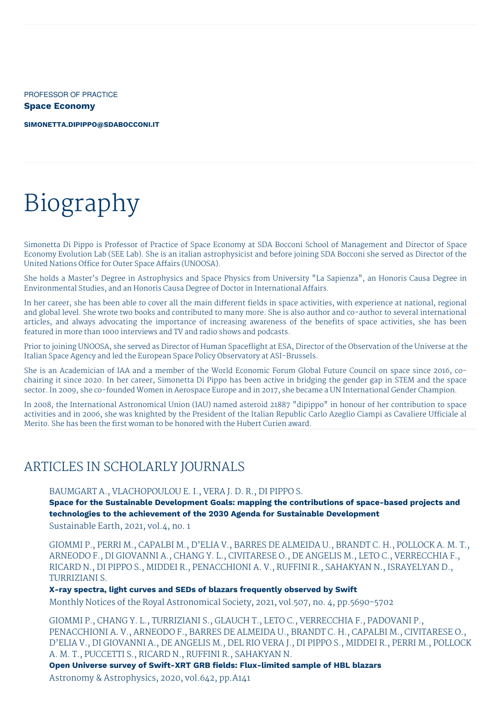PROFESSOR OF PRACTICE **Space Economy**

**[SIMONETTA.DIPIPPO@SDABOCCONI.IT](mailto:simonetta.dipippo@sdabocconi.it)**

# Biography

Simonetta Di Pippo is Professor of Practice of Space Economy at SDA Bocconi School of Management and Director of Space Economy Evolution Lab (SEE Lab). She is an italian astrophysicist and before joining SDA Bocconi she served as Director of the United Nations Office for Outer Space Affairs (UNOOSA).

She holds a Master's Degree in Astrophysics and Space Physics from University "La Sapienza", an Honoris Causa Degree in Environmental Studies, and an Honoris Causa Degree of Doctor in International Affairs.

In her career, she has been able to cover all the main different fields in space activities, with experience at national, regional and global level. She wrote two books and contributed to many more. She is also author and co-author to several international articles, and always advocating the importance of increasing awareness of the benefits of space activities, she has been featured in more than 1000 interviews and TV and radio shows and podcasts.

Prior to joining UNOOSA, she served as Director of Human Spaceflight at ESA, Director of the Observation of the Universe at the Italian Space Agency and led the European Space Policy Observatory at ASI-Brussels.

She is an Academician of IAA and a member of the World Economic Forum Global Future Council on space since 2016, cochairing it since 2020. In her career, Simonetta Di Pippo has been active in bridging the gender gap in STEM and the space sector. In 2009, she co-founded Women in Aerospace Europe and in 2017, she became a UN International Gender Champion.

In 2008, the International Astronomical Union (IAU) named asteroid 21887 "dipippo" in honour of her contribution to space activities and in 2006, she was knighted by the President of the Italian Republic Carlo Azeglio Ciampi as Cavaliere Ufficiale al Merito. She has been the first woman to be honored with the Hubert Curien award.

# ARTICLES IN SCHOLARLY JOURNALS

BAUMGART A., VLACHOPOULOU E. I., VERA J. D. R., DI PIPPO S.

**Space for the Sustainable Development Goals: mapping the contributions of space-based projects and technologies to the achievement of the 2030 Agenda for Sustainable Development**

Sustainable Earth, 2021, vol.4, no. 1

GIOMMI P., PERRI M., CAPALBI M., D'ELIA V., BARRES DE ALMEIDA U., BRANDT C. H., POLLOCK A. M. T., ARNEODO F., DI GIOVANNI A., CHANG Y. L., CIVITARESE O., DE ANGELIS M., LETO C., VERRECCHIA F., RICARD N., DI PIPPO S., MIDDEI R., PENACCHIONI A. V., RUFFINI R., SAHAKYAN N., ISRAYELYAN D., TURRIZIANI S.

**X-ray spectra, light curves and SEDs of blazars frequently observed by Swift**

Monthly Notices of the Royal Astronomical Society, 2021, vol.507, no. 4, pp.5690-5702

GIOMMI P., CHANG Y. L., TURRIZIANI S., GLAUCH T., LETO C., VERRECCHIA F., PADOVANI P., PENACCHIONI A. V., ARNEODO F., BARRES DE ALMEIDA U., BRANDT C. H., CAPALBI M., CIVITARESE O., D'ELIA V., DI GIOVANNI A., DE ANGELIS M., DEL RIO VERA J., DI PIPPO S., MIDDEI R., PERRI M., POLLOCK A. M. T., PUCCETTI S., RICARD N., RUFFINI R., SAHAKYAN N.

**Open Universe survey of Swift-XRT GRB fields: Flux-limited sample of HBL blazars**

Astronomy & Astrophysics, 2020, vol.642, pp.A141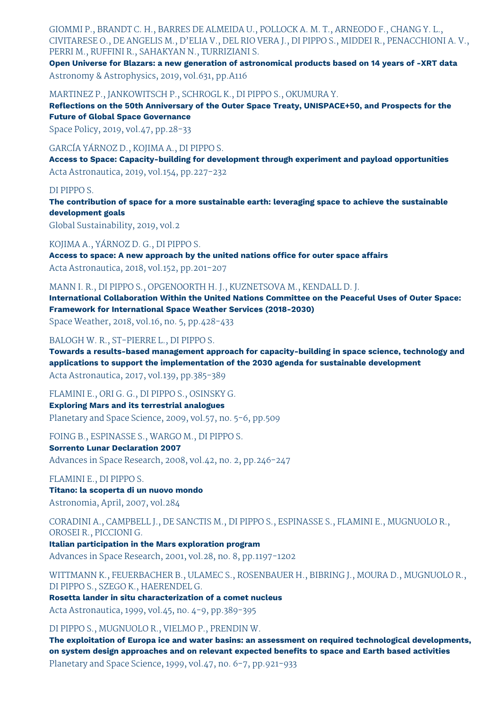GIOMMI P., BRANDT C. H., BARRES DE ALMEIDA U., POLLOCK A. M. T., ARNEODO F., CHANG Y. L., CIVITARESE O., DE ANGELIS M., D'ELIA V., DEL RIO VERA J., DI PIPPO S., MIDDEI R., PENACCHIONI A. V., PERRI M., RUFFINI R., SAHAKYAN N., TURRIZIANI S.

**Open Universe for Blazars: a new generation of astronomical products based on 14 years of -XRT data** Astronomy & Astrophysics, 2019, vol.631, pp.A116

MARTINEZ P., JANKOWITSCH P., SCHROGL K., DI PIPPO S., OKUMURA Y.

**Reflections on the 50th Anniversary of the Outer Space Treaty, UNISPACE+50, and Prospects for the Future of Global Space Governance**

Space Policy, 2019, vol.47, pp.28-33

GARCÍA YÁRNOZ D., KOJIMA A., DI PIPPO S.

**Access to Space: Capacity-building for development through experiment and payload opportunities** Acta Astronautica, 2019, vol.154, pp.227-232

#### DI PIPPO S.

**The contribution of space for a more sustainable earth: leveraging space to achieve the sustainable development goals**

Global Sustainability, 2019, vol.2

KOJIMA A., YÁRNOZ D. G., DI PIPPO S.

**Access to space: A new approach by the united nations office for outer space affairs** Acta Astronautica, 2018, vol.152, pp.201-207

MANN I. R., DI PIPPO S., OPGENOORTH H. J., KUZNETSOVA M., KENDALL D. J.

**International Collaboration Within the United Nations Committee on the Peaceful Uses of Outer Space: Framework for International Space Weather Services (2018-2030)**

Space Weather, 2018, vol.16, no. 5, pp.428-433

BALOGH W. R., ST-PIERRE L., DI PIPPO S.

**Towards a results-based management approach for capacity-building in space science, technology and applications to support the implementation of the 2030 agenda for sustainable development**

Acta Astronautica, 2017, vol.139, pp.385-389

FLAMINI E., ORI G. G., DI PIPPO S., OSINSKY G.

**Exploring Mars and its terrestrial analogues** Planetary and Space Science, 2009, vol.57, no. 5-6, pp.509

FOING B., ESPINASSE S., WARGO M., DI PIPPO S.

**Sorrento Lunar Declaration 2007**

Advances in Space Research, 2008, vol.42, no. 2, pp.246-247

FLAMINI E., DI PIPPO S.

**Titano: la scoperta di un nuovo mondo** Astronomia, April, 2007, vol.284

CORADINI A., CAMPBELL J., DE SANCTIS M., DI PIPPO S., ESPINASSE S., FLAMINI E., MUGNUOLO R., OROSEI R., PICCIONI G.

**Italian participation in the Mars exploration program** Advances in Space Research, 2001, vol.28, no. 8, pp.1197-1202

WITTMANN K., FEUERBACHER B., ULAMEC S., ROSENBAUER H., BIBRING J., MOURA D., MUGNUOLO R., DI PIPPO S., SZEGO K., HAERENDEL G.

**Rosetta lander in situ characterization of a comet nucleus**

Acta Astronautica, 1999, vol.45, no. 4-9, pp.389-395

DI PIPPO S., MUGNUOLO R., VIELMO P., PRENDIN W.

**The exploitation of Europa ice and water basins: an assessment on required technological developments, on system design approaches and on relevant expected benefits to space and Earth based activities** Planetary and Space Science, 1999, vol.47, no. 6-7, pp.921-933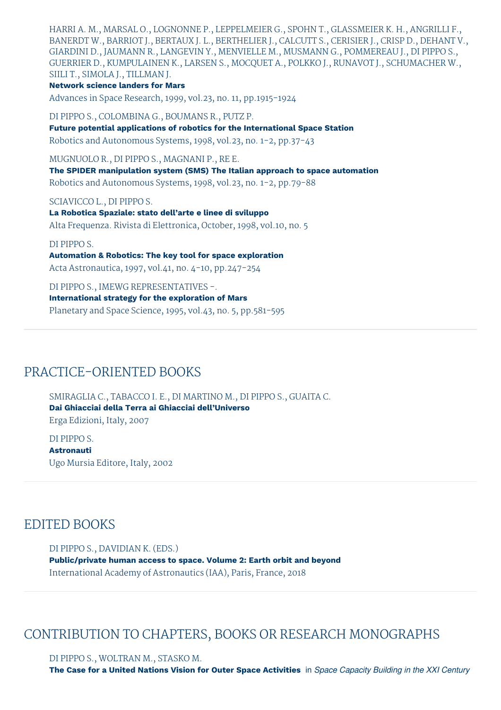HARRI A. M., MARSAL O., LOGNONNE P., LEPPELMEIER G., SPOHN T., GLASSMEIER K. H., ANGRILLI F., BANERDT W., BARRIOT J., BERTAUX J. L., BERTHELIER J., CALCUTT S., CERISIER J., CRISP D., DEHANT V., GIARDINI D., JAUMANN R., LANGEVIN Y., MENVIELLE M., MUSMANN G., POMMEREAU J., DI PIPPO S., GUERRIER D., KUMPULAINEN K., LARSEN S., MOCQUET A., POLKKO J., RUNAVOT J., SCHUMACHER W., SIILI T., SIMOLA J., TILLMAN J.

**Network science landers for Mars**

Advances in Space Research, 1999, vol.23, no. 11, pp.1915-1924

DI PIPPO S., COLOMBINA G., BOUMANS R., PUTZ P.

**Future potential applications of robotics for the International Space Station** Robotics and Autonomous Systems, 1998, vol.23, no. 1-2, pp.37-43

MUGNUOLO R., DI PIPPO S., MAGNANI P., RE E.

**The SPIDER manipulation system (SMS) The Italian approach to space automation** Robotics and Autonomous Systems, 1998, vol.23, no. 1-2, pp.79-88

#### SCIAVICCO L., DI PIPPO S.

**La Robotica Spaziale: stato dell'arte e linee di sviluppo** Alta Frequenza. Rivista di Elettronica, October, 1998, vol.10, no. 5

#### DI PIPPO S.

**Automation & Robotics: The key tool for space exploration** Acta Astronautica, 1997, vol.41, no. 4-10, pp.247-254

DI PIPPO S., IMEWG REPRESENTATIVES -. **International strategy for the exploration of Mars** Planetary and Space Science, 1995, vol.43, no. 5, pp.581-595

# PRACTICE-ORIENTED BOOKS

SMIRAGLIA C., TABACCO I. E., DI MARTINO M., DI PIPPO S., GUAITA C. **Dai Ghiacciai della Terra ai Ghiacciai dell'Universo** Erga Edizioni, Italy, 2007

DI PIPPO S. **Astronauti** Ugo Mursia Editore, Italy, 2002

# EDITED BOOKS

DI PIPPO S., DAVIDIAN K. (EDS.) **Public/private human access to space. Volume 2: Earth orbit and beyond** International Academy of Astronautics (IAA), Paris, France, 2018

# CONTRIBUTION TO CHAPTERS, BOOKS OR RESEARCH MONOGRAPHS

DI PIPPO S., WOLTRAN M., STASKO M. The Case for a United Nations Vision for Outer Space Activities in Space Capacity Building in the XXI Century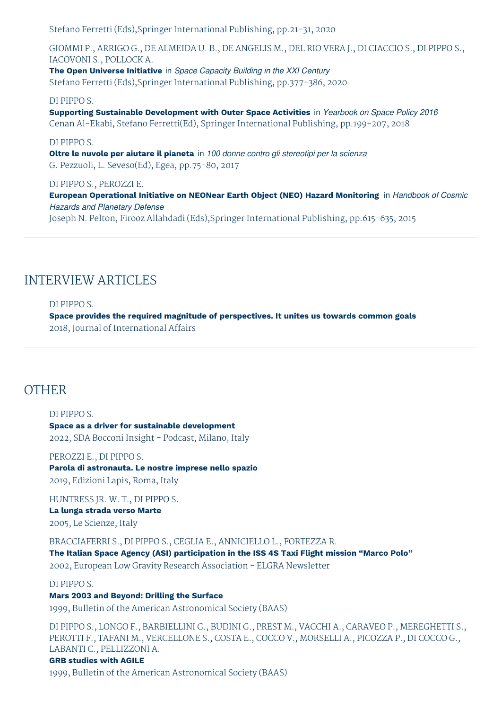Stefano Ferretti (Eds),Springer International Publishing, pp.21-31, 2020

GIOMMI P., ARRIGO G., DE ALMEIDA U. B., DE ANGELIS M., DEL RIO VERA J., DI CIACCIO S., DI PIPPO S., IACOVONI S., POLLOCK A.

**The Open Universe Initiative** in *Space Capacity Building in the XXI Century* Stefano Ferretti (Eds),Springer International Publishing, pp.377-386, 2020

#### DI PIPPO S.

**Supporting Sustainable Development with Outer Space Activities** in *Yearbook on Space Policy 2016* Cenan Al-Ekabi, Stefano Ferretti(Ed), Springer International Publishing, pp.199-207, 2018

# DI PIPPO S.

**Oltre le nuvole per aiutare il pianeta** in *100 donne contro gli stereotipi per la scienza* G. Pezzuoli, L. Seveso(Ed), Egea, pp.75-80, 2017

#### DI PIPPO S., PEROZZI E.

**European Operational Initiative on NEONear Earth Object (NEO) Hazard Monitoring** in *Handbook of Cosmic Hazards and Planetary Defense*

Joseph N. Pelton, Firooz Allahdadi (Eds),Springer International Publishing, pp.615-635, 2015

# INTERVIEW ARTICLES

#### DI PIPPO S.

**Space provides the required magnitude of perspectives. It unites us towards common goals** 2018, Journal of International Affairs

# **OTHER**

# DI PIPPO S. **Space as a driver for sustainable development** 2022, SDA Bocconi Insight - Podcast, Milano, Italy

#### PEROZZI E., DI PIPPO S.

**Parola di astronauta. Le nostre imprese nello spazio** 2019, Edizioni Lapis, Roma, Italy

HUNTRESS JR. W. T., DI PIPPO S. **La lunga strada verso Marte** 2005, Le Scienze, Italy

BRACCIAFERRI S., DI PIPPO S., CEGLIA E., ANNICIELLO L., FORTEZZA R.

**The Italian Space Agency (ASI) participation in the ISS 4S Taxi Flight mission "Marco Polo"**

2002, European Low Gravity Research Association - ELGRA Newsletter

DI PIPPO S.

# **Mars 2003 and Beyond: Drilling the Surface**

1999, Bulletin of the American Astronomical Society (BAAS)

DI PIPPO S., LONGO F., BARBIELLINI G., BUDINI G., PREST M., VACCHI A., CARAVEO P., MEREGHETTI S., PEROTTI F., TAFANI M., VERCELLONE S., COSTA E., COCCO V., MORSELLI A., PICOZZA P., DI COCCO G., LABANTI C., PELLIZZONI A.

# **GRB studies with AGILE**

1999, Bulletin of the American Astronomical Society (BAAS)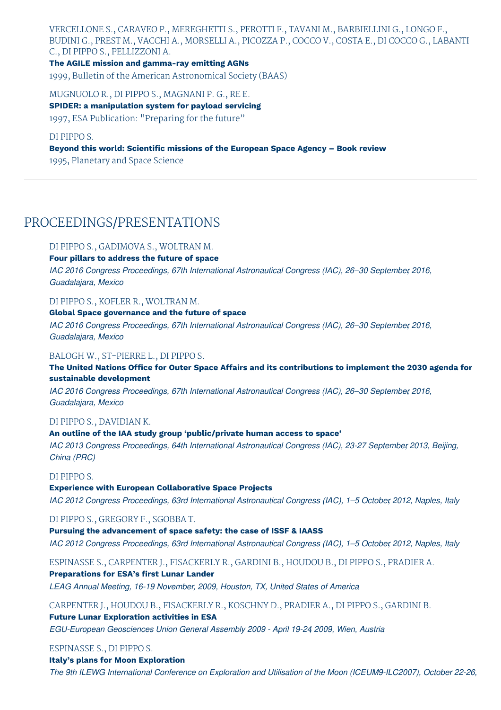VERCELLONE S., CARAVEO P., MEREGHETTI S., PEROTTI F., TAVANI M., BARBIELLINI G., LONGO F., BUDINI G., PREST M., VACCHI A., MORSELLI A., PICOZZA P., COCCO V., COSTA E., DI COCCO G., LABANTI C., DI PIPPO S., PELLIZZONI A.

**The AGILE mission and gamma-ray emitting AGNs** 1999, Bulletin of the American Astronomical Society (BAAS)

MUGNUOLO R., DI PIPPO S., MAGNANI P. G., RE E. **SPIDER: a manipulation system for payload servicing** 1997, ESA Publication: "Preparing for the future"

# DI PIPPO S. **Beyond this world: Scientific missions of the European Space Agency – Book review** 1995, Planetary and Space Science

# PROCEEDINGS/PRESENTATIONS

# DI PIPPO S., GADIMOVA S., WOLTRAN M.

**Four pillars to address the future of space**

*IAC 2016 Congress Proceedings, 67th International Astronautical Congress (IAC), 26–30 September, 2016, Guadalajara, Mexico*

# DI PIPPO S., KOFLER R., WOLTRAN M.

#### **Global Space governance and the future of space**

*IAC 2016 Congress Proceedings, 67th International Astronautical Congress (IAC), 26–30 September, 2016, Guadalajara, Mexico*

## BALOGH W., ST-PIERRE L., DI PIPPO S.

# **The United Nations Office for Outer Space Affairs and its contributions to implement the 2030 agenda for sustainable development**

*IAC 2016 Congress Proceedings, 67th International Astronautical Congress (IAC), 26–30 September, 2016, Guadalajara, Mexico*

# DI PIPPO S., DAVIDIAN K.

#### **An outline of the IAA study group 'public/private human access to space'**

*IAC 2013 Congress Proceedings, 64th International Astronautical Congress (IAC), 23-27 September, 2013, Beijing, China (PRC)*

# DI PIPPO S.

#### **Experience with European Collaborative Space Projects**

*IAC 2012 Congress Proceedings, 63rd International Astronautical Congress (IAC), 1–5 October, 2012, Naples, Italy*

# DI PIPPO S., GREGORY F., SGOBBA T.

**Pursuing the advancement of space safety: the case of ISSF & IAASS**

*IAC 2012 Congress Proceedings, 63rd International Astronautical Congress (IAC), 1–5 October, 2012, Naples, Italy*

# ESPINASSE S., CARPENTER J., FISACKERLY R., GARDINI B., HOUDOU B., DI PIPPO S., PRADIER A.

# **Preparations for ESA's first Lunar Lander**

*LEAG Annual Meeting, 16-19 November, 2009, Houston, TX, United States of America*

# CARPENTER J., HOUDOU B., FISACKERLY R., KOSCHNY D., PRADIER A., DI PIPPO S., GARDINI B.

# **Future Lunar Exploration activities in ESA**

*EGU-European Geosciences Union General Assembly 2009 - April 19-24, 2009, Wien, Austria*

# ESPINASSE S., DI PIPPO S.

# **Italy's plans for Moon Exploration**

*The 9th ILEWG International Conference on Exploration and Utilisation of the Moon (ICEUM9-ILC2007), October 22-26,*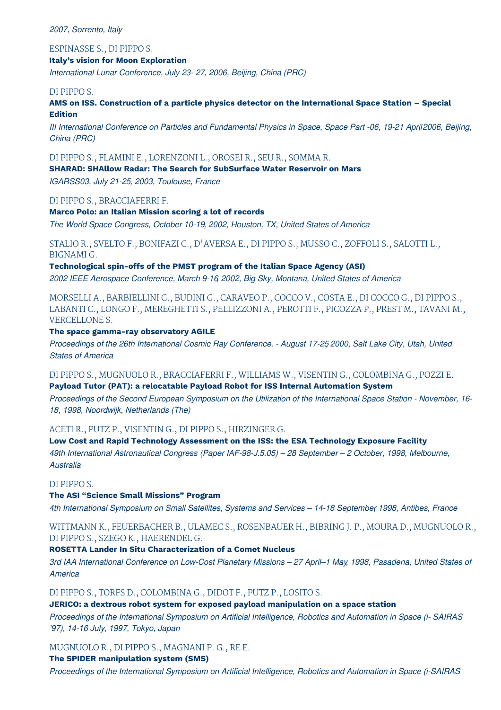*2007, Sorrento, Italy*

ESPINASSE S., DI PIPPO S.

# **Italy's vision for Moon Exploration**

*International Lunar Conference, July 23- 27, 2006, Beijing, China (PRC)*

## DI PIPPO S.

**AMS on ISS. Construction of a particle physics detector on the International Space Station – Special Edition**

III International Conference on Particles and Fundamental Physics in Space, Space Part -06, 19-21 April 2006, Beijing, *China (PRC)*

DI PIPPO S., FLAMINI E., LORENZONI L., OROSEI R., SEU R., SOMMA R.

**SHARAD: SHAllow Radar: The Search for SubSurface Water Reservoir on Mars**

*IGARSS03, July 21-25, 2003, Toulouse, France*

DI PIPPO S., BRACCIAFERRI F.

#### **Marco Polo: an Italian Mission scoring a lot of records**

*The World Space Congress, October 10-19, 2002, Houston, TX, United States of America*

STALIO R., SVELTO F., BONIFAZI C., D'AVERSA E., DI PIPPO S., MUSSO C., ZOFFOLI S., SALOTTI L., BIGNAMI G.

**Technological spin-offs of the PMST program of the Italian Space Agency (ASI)**

*2002 IEEE Aerospace Conference, March 9-16, 2002, Big Sky, Montana, United States of America*

MORSELLI A., BARBIELLINI G., BUDINI G., CARAVEO P., COCCO V., COSTA E., DI COCCO G., DI PIPPO S., LABANTI C., LONGO F., MEREGHETTI S., PELLIZZONI A., PEROTTI F., PICOZZA P., PREST M., TAVANI M., VERCELLONE S.

#### **The space gamma-ray observatory AGILE**

Proceedings of the 26th International Cosmic Ray Conference. - August 17-25 2000, Salt Lake City, Utah, United *States of America*

DI PIPPO S., MUGNUOLO R., BRACCIAFERRI F., WILLIAMS W., VISENTIN G., COLOMBINA G., POZZI E. **Payload Tutor (PAT): a relocatable Payload Robot for ISS Internal Automation System**

Proceedings of the Second European Symposium on the Utilization of the International Space Station - November, 16-*18, 1998, Noordwijk, Netherlands (The)*

ACETI R., PUTZ P., VISENTIN G., DI PIPPO S., HIRZINGER G.

# **Low Cost and Rapid Technology Assessment on the ISS: the ESA Technology Exposure Facility**

*49th International Astronautical Congress (Paper IAF-98-J.5.05) – 28 September – 2 October, 1998, Melbourne, Australia*

# DI PIPPO S.

#### **The ASI "Science Small Missions" Program**

*4th International Symposium on Small Satellites, Systems and Services – 14-18 September, 1998, Antibes, France*

WITTMANN K., FEUERBACHER B., ULAMEC S., ROSENBAUER H., BIBRING J. P., MOURA D., MUGNUOLO R., DI PIPPO S., SZEGO K., HAERENDEL G.

# **ROSETTA Lander In Situ Characterization of a Comet Nucleus**

3rd IAA International Conference on Low-Cost Planetary Missions - 27 April-1 May, 1998, Pasadena, United States of *America*

# DI PIPPO S., TORFS D., COLOMBINA G., DIDOT F., PUTZ P., LOSITO S.

# **JERICO: a dextrous robot system for exposed payload manipulation on a space station**

*Proceedings of the International Symposium on Artificial Intelligence, Robotics and Automation in Space (i- SAIRAS '97), 14-16 July, 1997, Tokyo, Japan*

MUGNUOLO R., DI PIPPO S., MAGNANI P. G., RE E.

# **The SPIDER manipulation system (SMS)**

*Proceedings of the International Symposium on Artificial Intelligence, Robotics and Automation in Space (i-SAIRAS*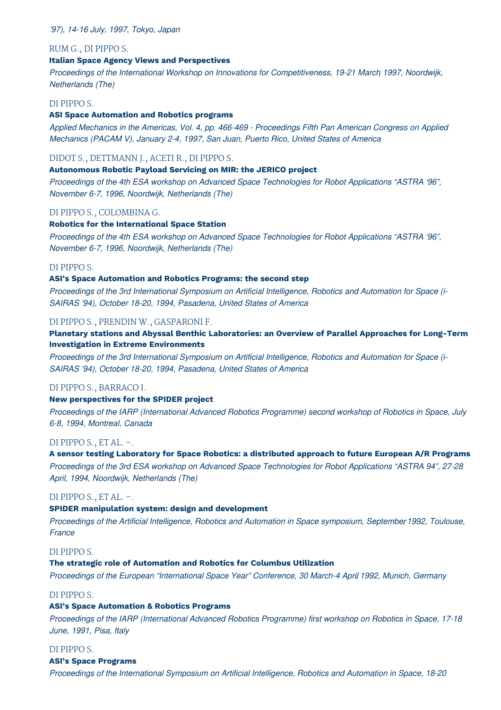# *'97), 14-16 July, 1997, Tokyo, Japan*

#### RUM G., DI PIPPO S.

## **Italian Space Agency Views and Perspectives**

*Proceedings of the International Workshop on Innovations for Competitiveness, 19-21 March, 1997, Noordwijk, Netherlands (The)*

#### DI PIPPO S.

#### **ASI Space Automation and Robotics programs**

Applied Mechanics in the Americas, Vol. 4, pp. 466-469 - Proceedings Fifth Pan American Congress on Applied *Mechanics (PACAM V), January 2-4, 1997, San Juan, Puerto Rico, United States of America*

#### DIDOT S., DETTMANN J., ACETI R., DI PIPPO S.

## **Autonomous Robotic Payload Servicing on MIR: the JERICO project**

*Proceedings of the 4th ESA workshop on Advanced Space Technologies for Robot Applications "ASTRA '96", November 6-7, 1996, Noordwijk, Netherlands (The)*

#### DI PIPPO S., COLOMBINA G.

#### **Robotics for the International Space Station**

*Proceedings of the 4th ESA workshop on Advanced Space Technologies for Robot Applications "ASTRA '96", November 6-7, 1996, Noordwijk, Netherlands (The)*

#### DI PIPPO S.

#### **ASI's Space Automation and Robotics Programs: the second step**

*Proceedings of the 3rd International Symposium on Artificial Intelligence, Robotics and Automation for Space (i-SAIRAS '94), October 18-20, 1994, Pasadena, United States of America*

#### DI PIPPO S., PRENDIN W., GASPARONI F.

# **Planetary stations and Abyssal Benthic Laboratories: an Overview of Parallel Approaches for Long-Term Investigation in Extreme Environments**

*Proceedings of the 3rd International Symposium on Artificial Intelligence, Robotics and Automation for Space (i-SAIRAS '94), October 18-20, 1994, Pasadena, United States of America*

#### DI PIPPO S., BARRACO I.

#### **New perspectives for the SPIDER project**

*Proceedings of the IARP (International Advanced Robotics Programme) second workshop of Robotics in Space, July 6-8, 1994, Montreal, Canada*

## DI PIPPO S., ET AL. -.

#### **A sensor testing Laboratory for Space Robotics: a distributed approach to future European A/R Programs**

*Proceedings of the 3rd ESA workshop on Advanced Space Technologies for Robot Applications "ASTRA 94", 27-28 April, 1994, Noordwijk, Netherlands (The)*

## DI PIPPO S., ET AL. -.

#### **SPIDER manipulation system: design and development**

*Proceedings of the Artificial Intelligence, Robotics and Automation in Space symposium, September 1992, Toulouse, France*

# DI PIPPO S.

#### **The strategic role of Automation and Robotics for Columbus Utilization**

*Proceedings of the European "International Space Year" Conference, 30 March-4 Apri,l 1992, Munich, Germany*

# DI PIPPO S.

# **ASI's Space Automation & Robotics Programs**

*Proceedings of the IARP (International Advanced Robotics Programme) first workshop on Robotics in Space, 17-18 June, 1991, Pisa, Italy*

# DI PIPPO S.

# **ASI's Space Programs**

*Proceedings of the International Symposium on Artificial Intelligence, Robotics and Automation in Space, 18-20*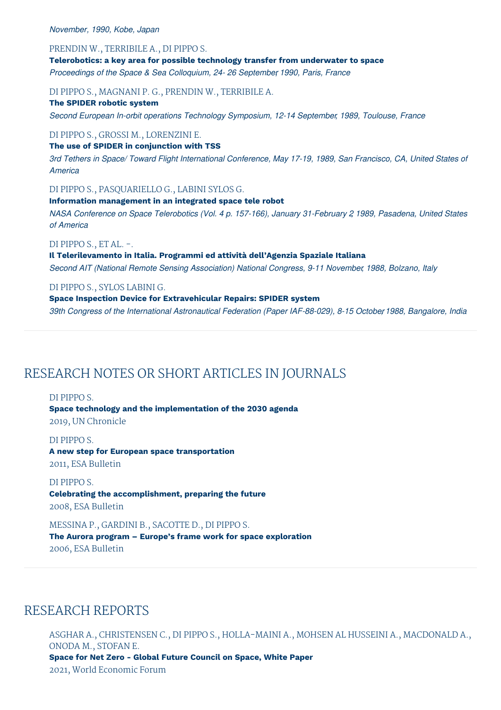#### *November, 1990, Kobe, Japan*

#### PRENDIN W., TERRIBILE A., DI PIPPO S.

**Telerobotics: a key area for possible technology transfer from underwater to space** *Proceedings of the Space & Sea Colloquium, 24- 26 September, 1990, Paris, France*

#### DI PIPPO S., MAGNANI P. G., PRENDIN W., TERRIBILE A.

#### **The SPIDER robotic system**

*Second European In-orbit operations Technology Symposium, 12-14 September, 1989, Toulouse, France*

#### DI PIPPO S., GROSSI M., LORENZINI E.

#### **The use of SPIDER in conjunction with TSS**

3rd Tethers in Space/ Toward Flight International Conference, May 17-19, 1989, San Francisco, CA, United States of *America*

#### DI PIPPO S., PASQUARIELLO G., LABINI SYLOS G.

## **Information management in an integrated space tele robot**

*NASA Conference on Space Telerobotics (Vol. 4 p. 157-166), January 31-February 2, 1989, Pasadena, United States of America*

## DI PIPPO S., ET AL. -.

**Il Telerilevamento in Italia. Programmi ed attività dell'Agenzia Spaziale Italiana** *Second AIT (National Remote Sensing Association) National Congress, 9-11 November, 1988, Bolzano, Italy*

#### DI PIPPO S., SYLOS LABINI G.

# **Space Inspection Device for Extravehicular Repairs: SPIDER system**

*39th Congress of the International Astronautical Federation (Paper IAF-88-029), 8-15 Octobe,r1988, Bangalore, India*

# RESEARCH NOTES OR SHORT ARTICLES IN JOURNALS

#### DI PIPPO S.

**Space technology and the implementation of the 2030 agenda** 2019, UN Chronicle

#### DI PIPPO S.

# **A new step for European space transportation** 2011, ESA Bulletin

#### DI PIPPO S.

**Celebrating the accomplishment, preparing the future** 2008, ESA Bulletin

#### MESSINA P., GARDINI B., SACOTTE D., DI PIPPO S.

# **The Aurora program – Europe's frame work for space exploration** 2006, ESA Bulletin

# RESEARCH REPORTS

ASGHAR A., CHRISTENSEN C., DI PIPPO S., HOLLA-MAINI A., MOHSEN AL HUSSEINI A., MACDONALD A., ONODA M., STOFAN E. **Space for Net Zero - Global Future Council on Space, White Paper** 2021, World Economic Forum